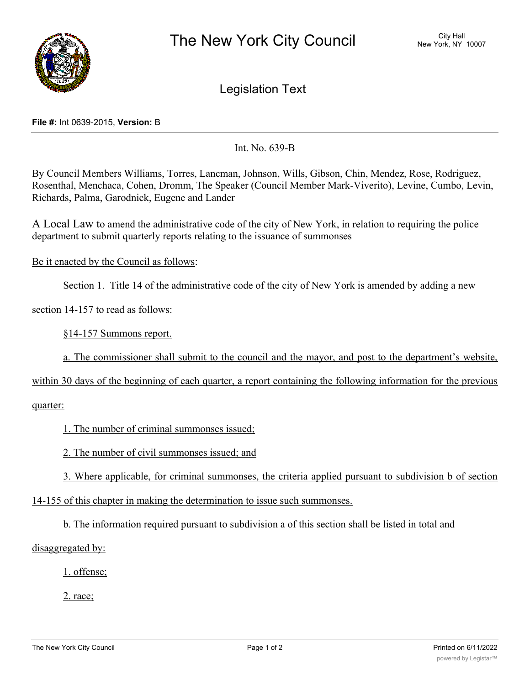

Legislation Text

## **File #:** Int 0639-2015, **Version:** B

Int. No. 639-B

By Council Members Williams, Torres, Lancman, Johnson, Wills, Gibson, Chin, Mendez, Rose, Rodriguez, Rosenthal, Menchaca, Cohen, Dromm, The Speaker (Council Member Mark-Viverito), Levine, Cumbo, Levin, Richards, Palma, Garodnick, Eugene and Lander

A Local Law to amend the administrative code of the city of New York, in relation to requiring the police department to submit quarterly reports relating to the issuance of summonses

Be it enacted by the Council as follows:

Section 1. Title 14 of the administrative code of the city of New York is amended by adding a new

section 14-157 to read as follows:

§14-157 Summons report.

a. The commissioner shall submit to the council and the mayor, and post to the department's website,

within 30 days of the beginning of each quarter, a report containing the following information for the previous

## quarter:

1. The number of criminal summonses issued;

2. The number of civil summonses issued; and

3. Where applicable, for criminal summonses, the criteria applied pursuant to subdivision b of section

14-155 of this chapter in making the determination to issue such summonses.

b. The information required pursuant to subdivision a of this section shall be listed in total and

disaggregated by:

1. offense;

2. race;